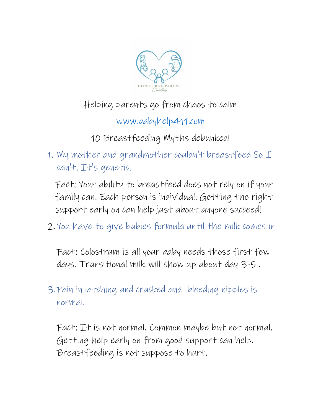

## Helping parents go from chaos to calm

[www.babyhelp411.com](http://www.babyhelp411.com/)

10 Breastfeeding Myths debunked!

1. My mother and grandmother couldn't breastfeed So  $\mathcal I$ can't. It's genetic.

Fact: Your ability to breastfeed does not rely on if your family can. Each person is individual. Getting the right support early on can help just about anyone succeed!

2.You have to give babies formula until the milk comes in

Fact: Colostrum is all your baby needs those first few days. Transitional milk will show up about day 3-5 .

3.Pain in latching and cracked and bleeding nipples is normal.

Fact: It is not normal. Common maybe but not normal. Getting help early on from good support can help. Breastfeeding is not suppose to hurt.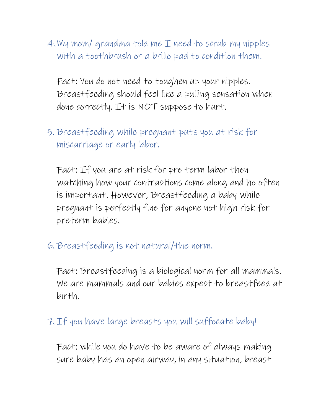4. My mom/ grandma told me I need to scrub my nipples with a toothbrush or a brillo pad to condition them.

Fact: You do not need to toughen up your nipples. Breastfeeding should feel like a pulling sensation when done correctly. It is NOT suppose to hurt.

5. Breastfeeding while pregnant puts you at risk for miscarriage or early labor.

Fact: If you are at risk for pre term labor then watching how your contractions come along and ho often is important. However, Breastfeeding a baby while pregnant is perfectly fine for anyone not high risk for preterm babies.

6. Breastfeeding is not natural/the norm.

Fact: Breastfeeding is a biological norm for all mammals. We are mammals and our babies expect to breastfeed at birth.

## 7. If you have large breasts you will suffocate baby!

Fact: while you do have to be aware of always making sure baby has an open airway, in any situation, breast